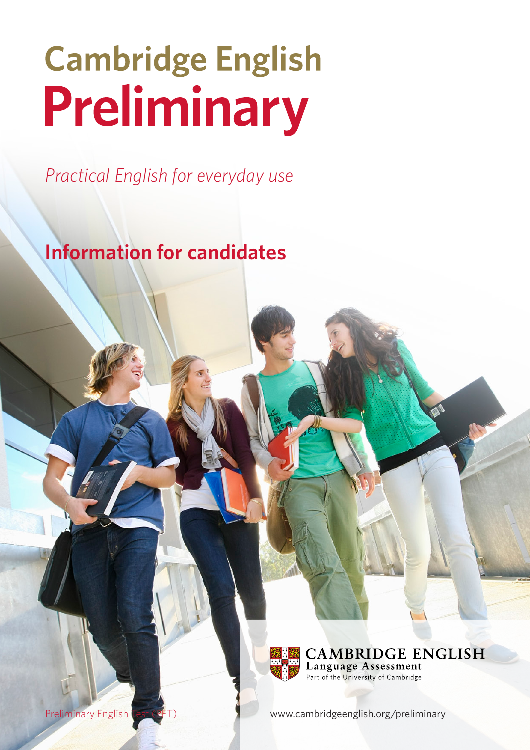# **Cambridge English** Preliminary

*Practical English for everyday use*

**Information for candidates**



**CAMBRIDGE ENGLISH Language Assessment** Part of the University of Cambridge

Preliminary English Test (PET) [www.cambridgeenglish.org/preliminary](http://www.cambridgeenglish.org/exams-and-qualifications/key/)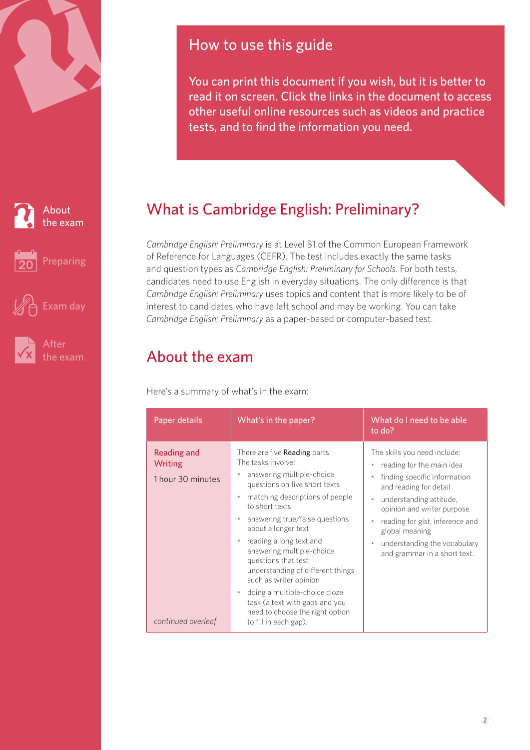<span id="page-1-0"></span>





[Exam day](#page-9-0)



[the exam](#page-11-0)

# How to use this guide

You can print this document if you wish, but it is better to read it on screen. Click the links in the document to access other useful online resources such as videos and practice tests, and to find the information you need.

# What is Cambridge English: Preliminary?

*Cambridge English: Preliminary* is at Level B1 of the Common European Framework of Reference for Languages (CEFR). The test includes exactly the same tasks and question types as *Cambridge English: Preliminary for Schools*. For both tests, candidates need to use English in everyday situations. The only difference is that *Cambridge English: Preliminary* uses topics and content that is more likely to be of interest to candidates who have left school and may be working. You can take *Cambridge English: Preliminary* as a paper-based or computer-based test.

# About the exam

Here's a summary of what's in the exam:

| Paper details                                                            | What's in the paper?                                                                                                                                                                                                                                                                                                                                                                                                                                                                                                               | What do I need to be able<br>to do?                                                                                                                                                                                                                                                                                        |
|--------------------------------------------------------------------------|------------------------------------------------------------------------------------------------------------------------------------------------------------------------------------------------------------------------------------------------------------------------------------------------------------------------------------------------------------------------------------------------------------------------------------------------------------------------------------------------------------------------------------|----------------------------------------------------------------------------------------------------------------------------------------------------------------------------------------------------------------------------------------------------------------------------------------------------------------------------|
| Reading and<br><b>Writing</b><br>1 hour 30 minutes<br>continued overleaf | There are five <b>Reading</b> parts.<br>The tasks involve:<br>answering multiple-choice<br>۰<br>questions on five short texts<br>matching descriptions of people<br>to short texts<br>answering true/false questions<br>٠<br>about a longer text<br>reading a long text and<br>۰<br>answering multiple-choice<br>questions that test<br>understanding of different things<br>such as writer opinion<br>doing a multiple-choice cloze<br>task (a text with gaps and you<br>need to choose the right option<br>to fill in each gap). | The skills you need include:<br>reading for the main idea<br>۰<br>finding specific information<br>٠<br>and reading for detail<br>understanding attitude,<br>٠<br>opinion and writer purpose<br>reading for gist, inference and<br>٠<br>global meaning<br>understanding the vocabulary<br>٠<br>and grammar in a short text. |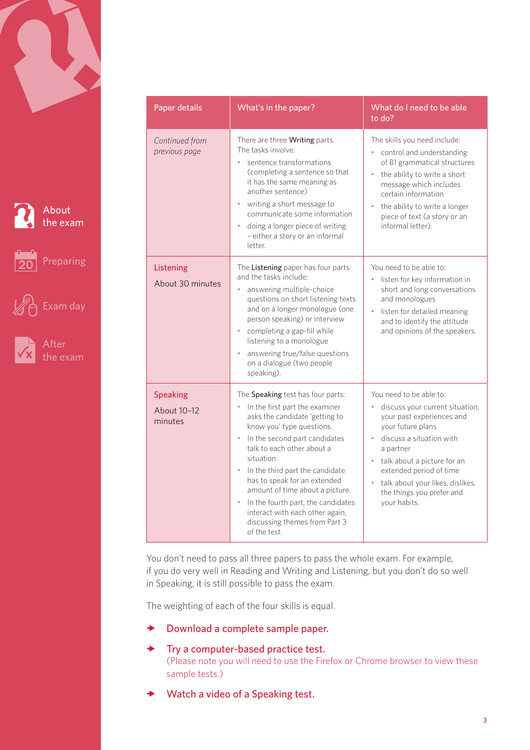

About [the exam](#page-1-0)

[Preparing](#page-3-0)



[Exam day](#page-9-0)

| Paper details                             | What's in the paper?                                                                                                                                                                                                                                                                                                                                                                                                                                         | What do I need to be able<br>to do?                                                                                                                                                                                                                                                                        |
|-------------------------------------------|--------------------------------------------------------------------------------------------------------------------------------------------------------------------------------------------------------------------------------------------------------------------------------------------------------------------------------------------------------------------------------------------------------------------------------------------------------------|------------------------------------------------------------------------------------------------------------------------------------------------------------------------------------------------------------------------------------------------------------------------------------------------------------|
| Continued from<br>previous page           | There are three <b>Writing</b> parts.<br>The tasks involve:<br>sentence transformations<br>(completing a sentence so that<br>it has the same meaning as<br>another sentence)<br>writing a short message to<br>$\bullet$<br>communicate some information<br>doing a longer piece of writing<br>- either a story or an informal<br>letter.                                                                                                                     | The skills you need include:<br>control and understanding<br>of B1 grammatical structures<br>the ability to write a short<br>ò.<br>message which includes<br>certain information<br>the ability to write a longer<br>piece of text (a story or an<br>informal letter).                                     |
| Listening<br>About 30 minutes             | The Listening paper has four parts<br>and the tasks include:<br>answering multiple-choice<br>questions on short listening texts<br>and on a longer monologue (one<br>person speaking) or interview<br>completing a gap-fill while<br>listening to a monologue<br>answering true/false questions<br>on a dialogue (two people<br>speaking).                                                                                                                   | You need to be able to:<br>o.<br>listen for key information in<br>short and long conversations<br>and monologues<br>listen for detailed meaning<br>and to identify the attitude<br>and opinions of the speakers.                                                                                           |
| <b>Speaking</b><br>About 10-12<br>minutes | The Speaking test has four parts:<br>In the first part the examiner<br>asks the candidate 'getting to<br>know you' type questions.<br>In the second part candidates<br>talk to each other about a<br>situation.<br>In the third part the candidate<br>$\bullet$<br>has to speak for an extended<br>amount of time about a picture.<br>In the fourth part, the candidates<br>interact with each other again,<br>discussing themes from Part 3<br>of the test. | You need to be able to:<br>discuss your current situation,<br>your past experiences and<br>your future plans<br>· discuss a situation with<br>a partner<br>• talk about a picture for an<br>extended period of time<br>ò.<br>talk about your likes, dislikes,<br>the things you prefer and<br>your habits. |

You don't need to pass all three papers to pass the whole exam. For example, if you do very well in Reading and Writing and Listening, but you don't do so well in Speaking, it is still possible to pass the exam.

The weighting of each of the four skills is equal.

- $\rightarrow$  [Download a complete sample paper.](http://www.cambridgeenglish.org/exams/preliminary/preparation/)
- $\rightarrow$  [Try a computer-based practice test.](http://www.cambridgeenglish.org/exams-and-qualifications/preliminary/how-to-prepare/) (Please note you will need to use the Firefox or Chrome browser to view these sample tests.)
- [Watch a video of a Speaking test.](https://youtu.be/OE7saDZrYOw)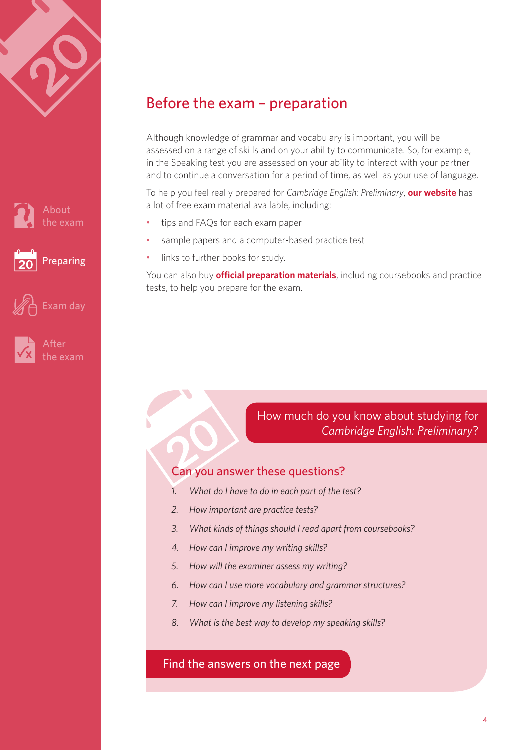<span id="page-3-0"></span>







After [the exam](#page-11-0)

[Exam day](#page-9-0)

# Before the exam – preparation

Although knowledge of grammar and vocabulary is important, you will be assessed on a range of skills and on your ability to communicate. So, for example, in the Speaking test you are assessed on your ability to interact with your partner and to continue a conversation for a period of time, as well as your use of language.

To help you feel really prepared for *Cambridge English: Preliminary*, **[our website](http://www.cambridgeenglish.org/exams-and-qualifications/preliminary/how-to-prepare/)** has a lot of free exam material available, including:

- tips and FAQs for each exam paper
- sample papers and a computer-based practice test
- links to further books for study.

You can also buy **[official preparation materials](http://www.cambridge.org/gb/cambridgeenglish/catalog/cambridge-english-exams-ielts/)**, including coursebooks and practice tests, to help you prepare for the exam.

## How much do you know about studying for *Cambridge English: Preliminary*?

#### Can you answer these questions?

- *1. What do I have to do in each part of the test?*
- *2. How important are practice tests?*
- *3. What kinds of things should I read apart from coursebooks?*
- *4. How can I improve my writing skills?*
- *5. How will the examiner assess my writing?*
- *6. How can I use more vocabulary and grammar structures?*
- *7. How can I improve my listening skills?*
- *8. What is the best way to develop my speaking skills?*

#### [Find the answers on the next page](#page-4-0)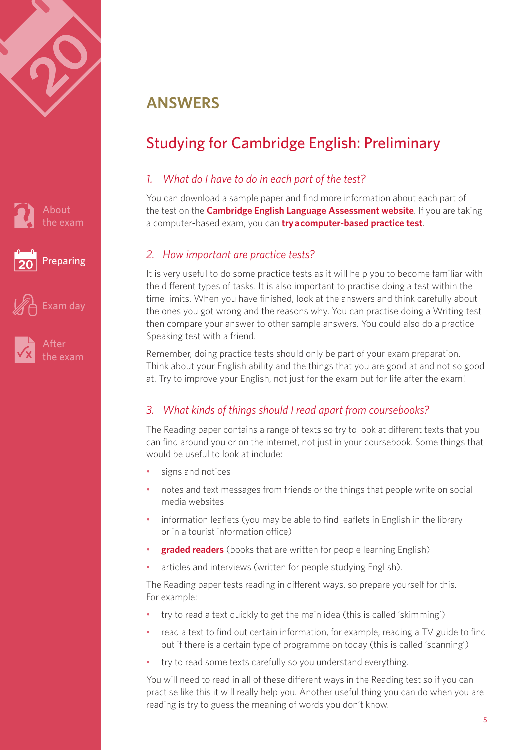<span id="page-4-0"></span>





# **ANSWERS**

# Studying for Cambridge English: Preliminary

#### *1. What do I have to do in each part of the test?*

You can download a sample paper and find more information about each part of the test on the **[Cambridge English Language Assessment website](http://www.cambridgeenglish.org/exams/preliminary/exam-format/)**. If you are taking a computer-based exam, you can **[try a computer-based practice test](http://www.cambridgeenglish.org/exams-and-qualifications/preliminary/how-to-prepare/)**.

## *2. How important are practice tests?*

It is very useful to do some practice tests as it will help you to become familiar with the different types of tasks. It is also important to practise doing a test within the time limits. When you have finished, look at the answers and think carefully about the ones you got wrong and the reasons why. You can practise doing a Writing test then compare your answer to other sample answers. You could also do a practice Speaking test with a friend.

Remember, doing practice tests should only be part of your exam preparation. Think about your English ability and the things that you are good at and not so good at. Try to improve your English, not just for the exam but for life after the exam!

## *3. What kinds of things should I read apart from coursebooks?*

The Reading paper contains a range of texts so try to look at different texts that you can find around you or on the internet, not just in your coursebook. Some things that would be useful to look at include:

- signs and notices
- notes and text messages from friends or the things that people write on social media websites
- information leaflets (you may be able to find leaflets in English in the library or in a tourist information office)
- **[graded readers](http://www.cambridge.org/gb/cambridgeenglish/catalog/readers/)** (books that are written for people learning English)
- articles and interviews (written for people studying English).

The Reading paper tests reading in different ways, so prepare yourself for this. For example:

- try to read a text quickly to get the main idea (this is called 'skimming')
- read a text to find out certain information, for example, reading a TV guide to find out if there is a certain type of programme on today (this is called 'scanning')
- try to read some texts carefully so you understand everything.

You will need to read in all of these different ways in the Reading test so if you can practise like this it will really help you. Another useful thing you can do when you are reading is try to guess the meaning of words you don't know.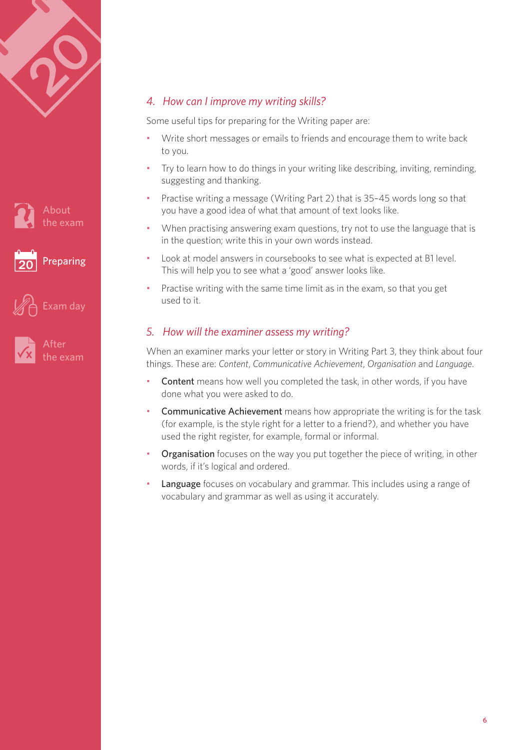





#### *4. How can I improve my writing skills?*

Some useful tips for preparing for the Writing paper are:

- Write short messages or emails to friends and encourage them to write back to you.
- Try to learn how to do things in your writing like describing, inviting, reminding, suggesting and thanking.
- Practise writing a message (Writing Part 2) that is 35–45 words long so that you have a good idea of what that amount of text looks like.
- When practising answering exam questions, try not to use the language that is in the question; write this in your own words instead.
- Look at model answers in coursebooks to see what is expected at B1 level. This will help you to see what a 'good' answer looks like.
- Practise writing with the same time limit as in the exam, so that you get used to it.

#### *5. How will the examiner assess my writing?*

When an examiner marks your letter or story in Writing Part 3, they think about four things. These are: *Content*, *Communicative Achievement*, *Organisation* and *Language*.

- Content means how well you completed the task, in other words, if you have done what you were asked to do.
- Communicative Achievement means how appropriate the writing is for the task (for example, is the style right for a letter to a friend?), and whether you have used the right register, for example, formal or informal.
- **Organisation** focuses on the way you put together the piece of writing, in other words, if it's logical and ordered.
- **Language** focuses on vocabulary and grammar. This includes using a range of vocabulary and grammar as well as using it accurately.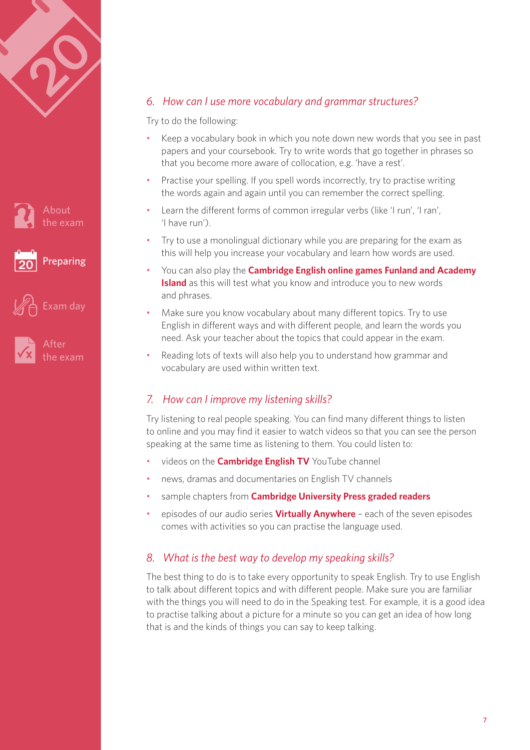





After [the exam](#page-11-0)

[Exam day](#page-9-0)

#### *6. How can I use more vocabulary and grammar structures?*

Try to do the following:

- Keep a vocabulary book in which you note down new words that you see in past papers and your coursebook. Try to write words that go together in phrases so that you become more aware of collocation, e.g. 'have a rest'.
- Practise your spelling. If you spell words incorrectly, try to practise writing the words again and again until you can remember the correct spelling.
- Learn the different forms of common irregular verbs (like 'I run', 'I ran', 'I have run').
- Try to use a monolingual dictionary while you are preparing for the exam as this will help you increase your vocabulary and learn how words are used.
- You can also play the **[Cambridge English online games Funland and Academy](http://www.cambridgeenglish.org/prepare-and-practise/games-social/)  [Island](http://www.cambridgeenglish.org/prepare-and-practise/games-social/)** as this will test what you know and introduce you to new words and phrases.
- Make sure you know vocabulary about many different topics. Try to use English in different ways and with different people, and learn the words you need. Ask your teacher about the topics that could appear in the exam.
- Reading lots of texts will also help you to understand how grammar and vocabulary are used within written text.

#### *7. How can I improve my listening skills?*

Try listening to real people speaking. You can find many different things to listen to online and you may find it easier to watch videos so that you can see the person speaking at the same time as listening to them. You could listen to:

- videos on the **[Cambridge English TV](www.youtube.com/cambridgeenglishtv)** YouTube channel
- news, dramas and documentaries on English TV channels
- sample chapters from **[Cambridge University Press graded readers](http://www.cambridge.org/gb/elt/catalogue/subject/project/item404822/?site_locale=en_GB¤tSubjectID=382366)**
- episodes of our audio series **[Virtually Anywhere](http://www.cambridgeenglish.org/learning-english/find-free-resources/virtually-anywhere/)** each of the seven episodes comes with activities so you can practise the language used.

#### *8. What is the best way to develop my speaking skills?*

The best thing to do is to take every opportunity to speak English. Try to use English to talk about different topics and with different people. Make sure you are familiar with the things you will need to do in the Speaking test. For example, it is a good idea to practise talking about a picture for a minute so you can get an idea of how long that is and the kinds of things you can say to keep talking.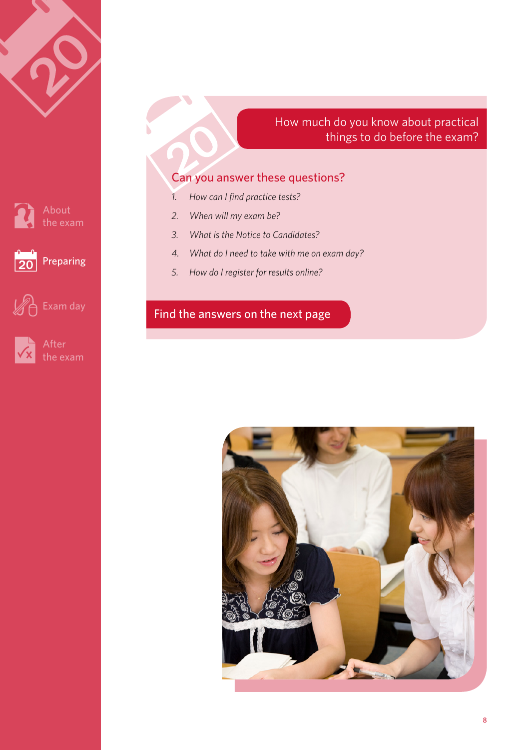

How much do you know about practical things to do before the exam?

## Can you answer these questions?

- *1. How can I find practice tests?*
- *2. When will my exam be?*
- *3. What is the Notice to Candidates?*
- *4. What do I need to take with me on exam day?*
- *5. How do I register for results online?*

## [Find the answers on the next page](#page-4-0)



About



After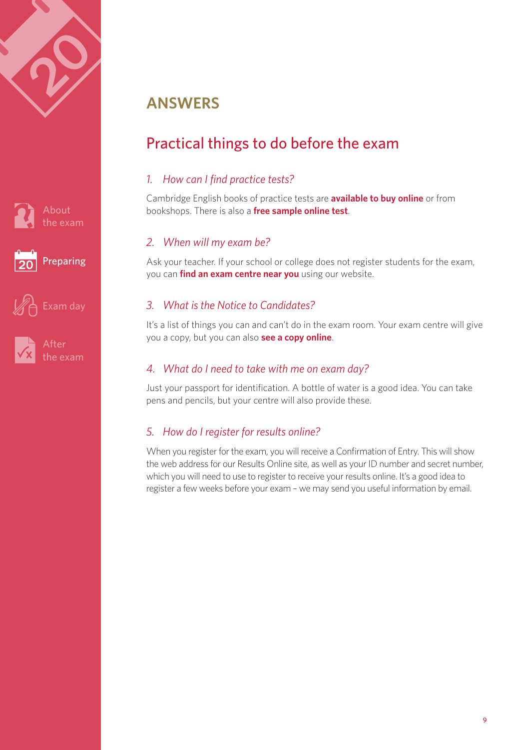<span id="page-8-0"></span>







[Exam day](#page-9-0)

# **ANSWERS**

# Practical things to do before the exam

## *1. How can I find practice tests?*

Cambridge English books of practice tests are **[available to buy online](www.cambridge.org/elt/preliminary)** or from bookshops. There is also a **[free sample online test](http://www.cambridgeenglish.org/exams-and-qualifications/preliminary/how-to-prepare/)**.

## *2. When will my exam be?*

Ask your teacher. If your school or college does not register students for the exam, you can **[find an exam centre near you](http://www.cambridgeenglish.org/find-a-centre/)** using our website.

## *3. What is the Notice to Candidates?*

It's a list of things you can and can't do in the exam room. Your exam centre will give you a copy, but you can also **[see a copy online](http://www.cambridgeenglish.org/images/summary-regulations.pdf#page=2)**.

#### *4. What do I need to take with me on exam day?*

Just your passport for identification. A bottle of water is a good idea. You can take pens and pencils, but your centre will also provide these.

## *5. How do I register for results online?*

When you register for the exam, you will receive a Confirmation of Entry. This will show the web address for our Results Online site, as well as your ID number and secret number, which you will need to use to register to receive your results online. It's a good idea to register a few weeks before your exam – we may send you useful information by email.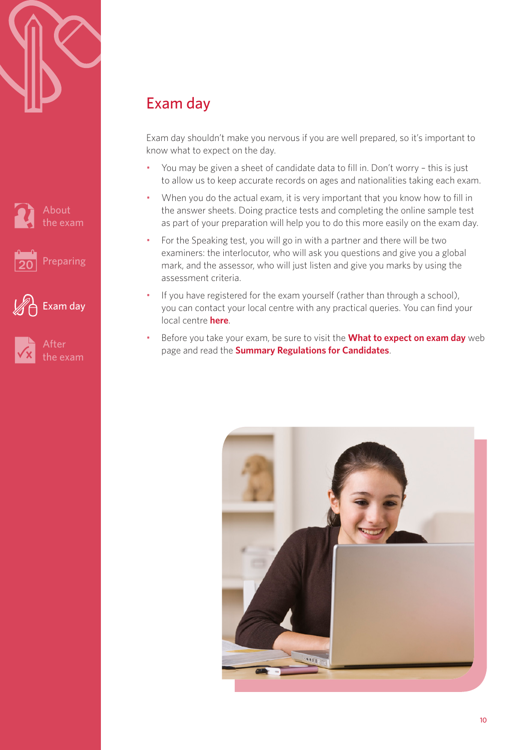<span id="page-9-0"></span>







# Exam day

Exam day shouldn't make you nervous if you are well prepared, so it's important to know what to expect on the day.

- You may be given a sheet of candidate data to fill in. Don't worry this is just to allow us to keep accurate records on ages and nationalities taking each exam.
- When you do the actual exam, it is very important that you know how to fill in the answer sheets. Doing practice tests and completing the online sample test as part of your preparation will help you to do this more easily on the exam day.
- For the Speaking test, you will go in with a partner and there will be two examiners: the interlocutor, who will ask you questions and give you a global mark, and the assessor, who will just listen and give you marks by using the assessment criteria.
- If you have registered for the exam yourself (rather than through a school), you can contact your local centre with any practical queries. You can find your local centre **[here](www.cambridgeenglish.org/find-a-centre)**.
- Before you take your exam, be sure to visit the **[What to expect on exam day](http://www.cambridgeenglish.org/prepare-and-practise/what-to-expect-on-exam-day/)** web page and read the **[Summary Regulations for Candidates](http://www.cambridgeenglish.org/images/summary-regulations.pdf)**.

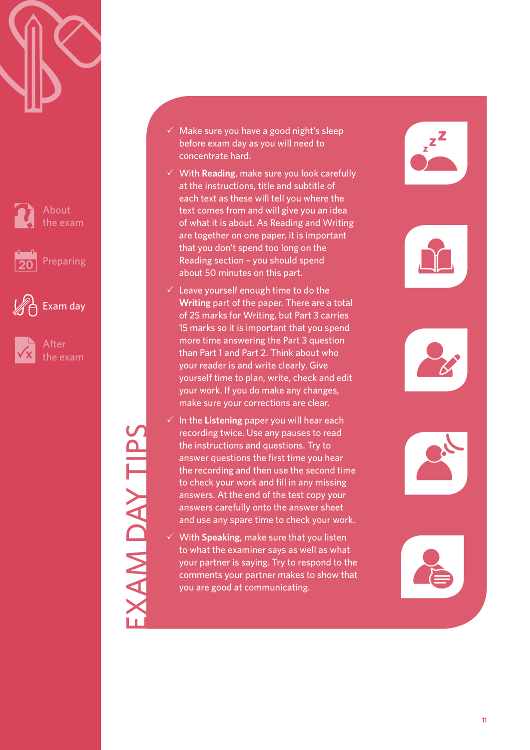



[Preparing](#page-3-0)



After [the exam](#page-11-0)

[Exam day](#page-9-0)

#### $\checkmark$  Make sure you have a good night's sleep before exam day as you will need to concentrate hard.

- $\checkmark$  With **Reading**, make sure you look carefully at the instructions, title and subtitle of each text as these will tell you where the text comes from and will give you an idea of what it is about. As Reading and Writing are together on one paper, it is important that you don't spend too long on the Reading section – you should spend about 50 minutes on this part.
- $\checkmark$  Leave yourself enough time to do the **Writing** part of the paper. There are a total of 25 marks for Writing, but Part 3 carries 15 marks so it is important that you spend more time answering the Part 3 question than Part 1 and Part 2. Think about who your reader is and write clearly. Give yourself time to plan, write, check and edit your work. If you do make any changes, make sure your corrections are clear.
- $\checkmark$  In the Listening paper you will hear each recording twice. Use any pauses to read the instructions and questions. Try to answer questions the first time you hear the recording and then use the second time to check your work and fill in any missing answers. At the end of the test copy your answers carefully onto the answer sheet and use any spare time to check your work.
- 3 With **Speaking**, make sure that you listen to what the examiner says as well as what your partner is saying. Try to respond to the comments your partner makes to show that you are good at communicating.











EXAM DAY TIPS **AM DAY TIPS**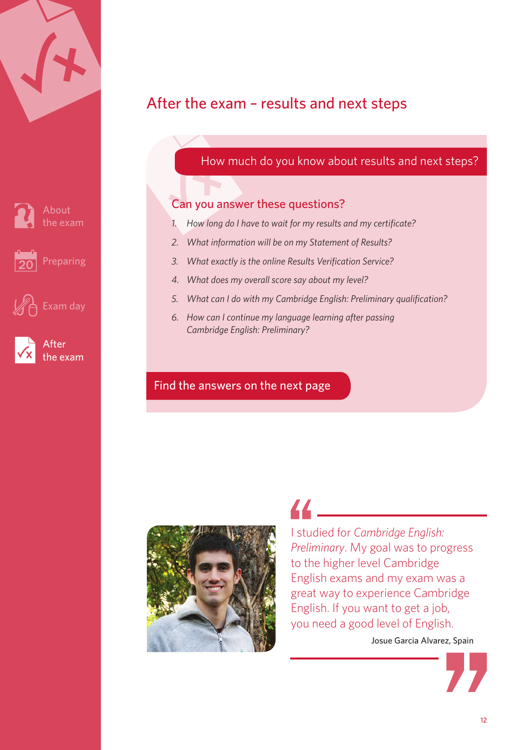<span id="page-11-0"></span>

About [the exam](#page-1-0)





After the exam

[Exam day](#page-9-0)

# After the exam – results and next steps

## How much do you know about results and next steps?

## Can you answer these questions?

- *1. How long do I have to wait for my results and my certificate?*
- *2. What information will be on my Statement of Results?*
- *3. What exactly is the online Results Verification Service?*
- *4. What does my overall score say about my level?*
- *5. What can I do with my Cambridge English: Preliminary qualification?*
- *6. How can I continue my language learning after passing Cambridge English: Preliminary?*

#### [Find the answers on the next page](#page-4-0)



44 —

I studied for *Cambridge English: Preliminary*. My goal was to progress to the higher level Cambridge English exams and my exam was a great way to experience Cambridge English. If you want to get a job, you need a good level of English.

Josue Garcia Alvarez, Spain

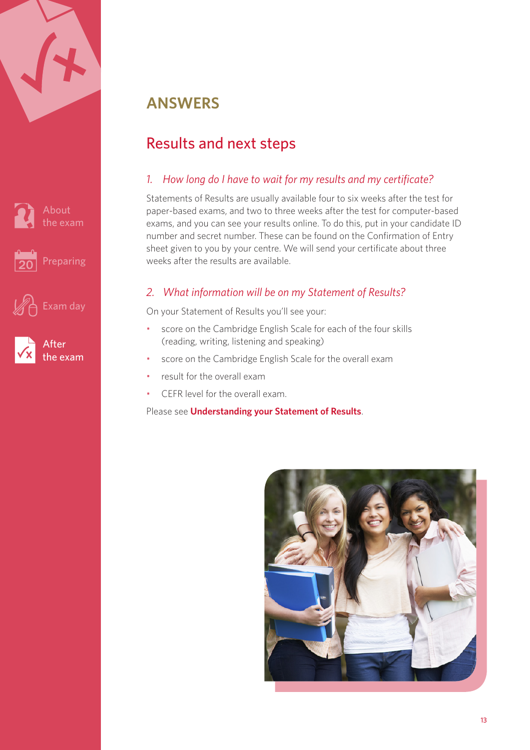<span id="page-12-0"></span>

|  | <b>Filter</b> |  |
|--|---------------|--|
|  |               |  |
|  |               |  |





After [the exam](#page-11-0)

# **ANSWERS**

# Results and next steps

## *1. How long do I have to wait for my results and my certificate?*

Statements of Results are usually available four to six weeks after the test for paper-based exams, and two to three weeks after the test for computer-based exams, and you can see your results online. To do this, put in your candidate ID number and secret number. These can be found on the Confirmation of Entry sheet given to you by your centre. We will send your certificate about three weeks after the results are available.

## *2. What information will be on my Statement of Results?*

On your Statement of Results you'll see your:

- score on the Cambridge English Scale for each of the four skills (reading, writing, listening and speaking)
- score on the Cambridge English Scale for the overall exam
- result for the overall exam
- CEFR level for the overall exam.

#### Please see **[Understanding your Statement of Results](www.cambridgeenglish.org/images/understanding-your-statement-of-results-preliminary.pdf)**.